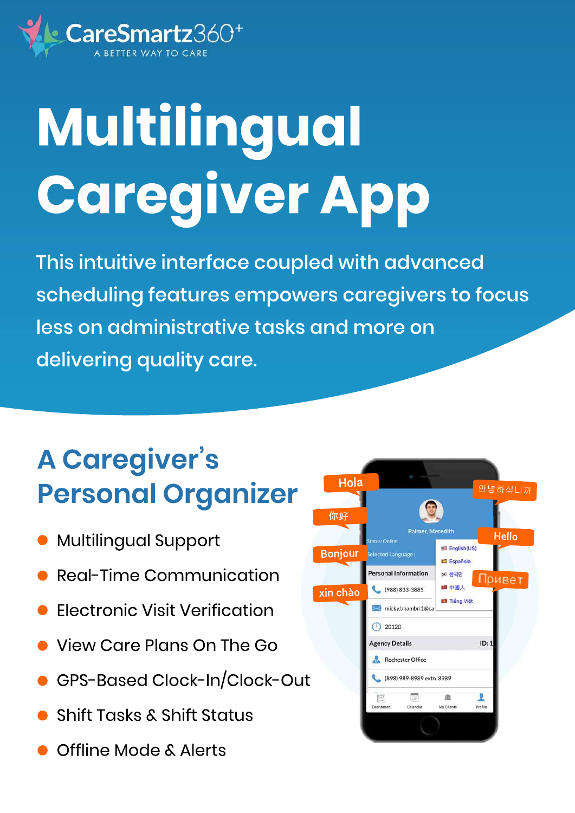

# Multilingual **Caregiver App**

This intuitive interface coupled with advanced scheduling features empowers caregivers to focus less on administrative tasks and more on delivering quality care.

### **A Caregiver's Personal Organizer**

- Multilingual Support
- **Real-Time Communication**
- **Electronic Visit Verification**
- **View Care Plans On The Go**
- GPS-Based Clock-In/Clock-Out
- **Shift Tasks & Shift Status**
- Offline Mode & Alerts

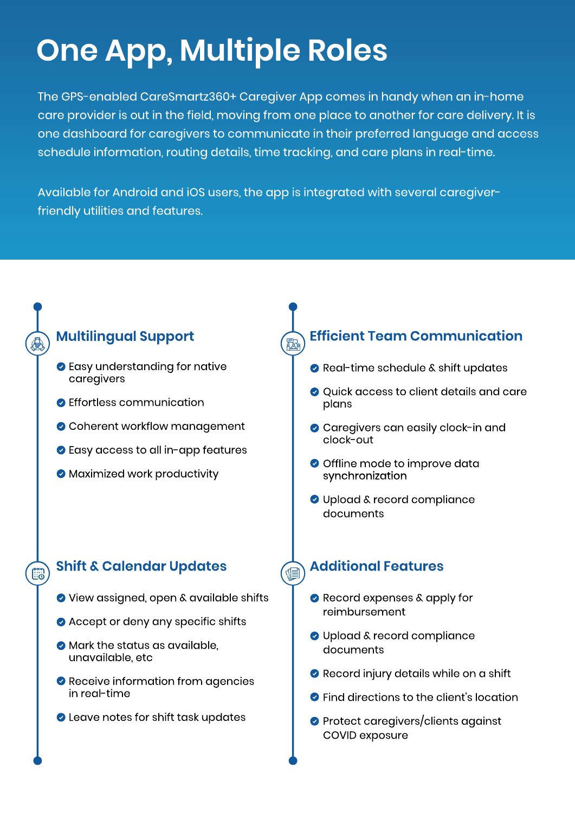## **One App, Multiple Roles**

The GPS-enabled CareSmartz360+ Caregiver App comes in handy when an in-home care provider is out in the field, moving from one place to another for care delivery. It is one dashboard for caregivers to communicate in their preferred language and access schedule information, routing details, time tracking, and care plans in real-time.

Available for Android and iOS users, the app is integrated with several caregiverfriendly utilities and features.